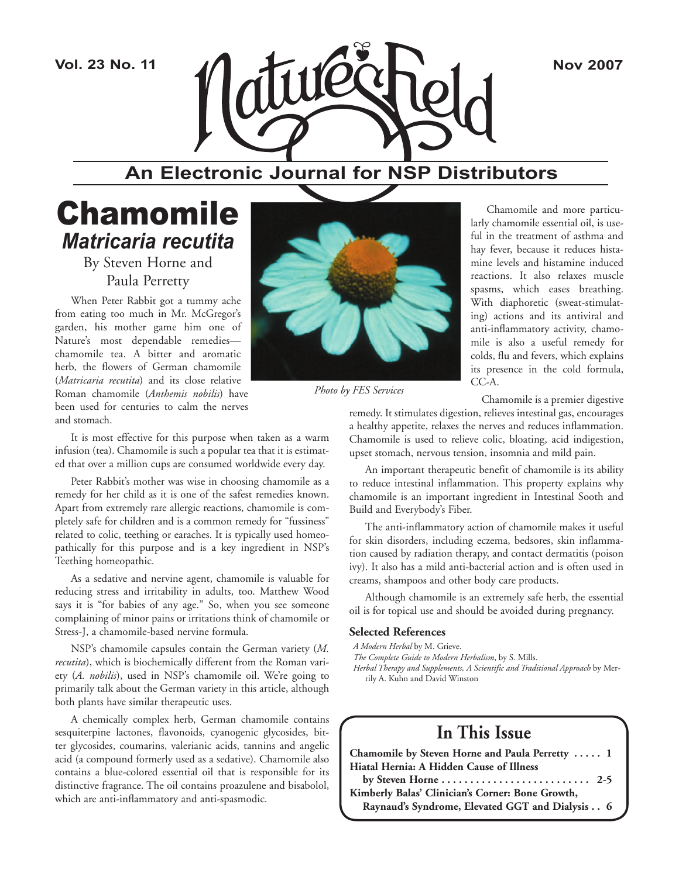

### **An Electronic Journal for NSP Distributors**

### Chamomile *Matricaria recutita*

By Steven Horne and Paula Perretty

When Peter Rabbit got a tummy ache from eating too much in Mr. McGregor's garden, his mother game him one of Nature's most dependable remedies chamomile tea. A bitter and aromatic herb, the flowers of German chamomile (*Matricaria recutita*) and its close relative Roman chamomile (*Anthemis nobilis*) have been used for centuries to calm the nerves and stomach.

It is most effective for this purpose when taken as a warm infusion (tea). Chamomile is such a popular tea that it is estimated that over a million cups are consumed worldwide every day.

Peter Rabbit's mother was wise in choosing chamomile as a remedy for her child as it is one of the safest remedies known. Apart from extremely rare allergic reactions, chamomile is completely safe for children and is a common remedy for "fussiness" related to colic, teething or earaches. It is typically used homeopathically for this purpose and is a key ingredient in NSP's Teething homeopathic.

As a sedative and nervine agent, chamomile is valuable for reducing stress and irritability in adults, too. Matthew Wood says it is "for babies of any age." So, when you see someone complaining of minor pains or irritations think of chamomile or Stress-J, a chamomile-based nervine formula.

NSP's chamomile capsules contain the German variety (*M. recutita*), which is biochemically different from the Roman variety (*A. nobilis*), used in NSP's chamomile oil. We're going to primarily talk about the German variety in this article, although both plants have similar therapeutic uses.

A chemically complex herb, German chamomile contains sesquiterpine lactones, flavonoids, cyanogenic glycosides, bitter glycosides, coumarins, valerianic acids, tannins and angelic acid (a compound formerly used as a sedative). Chamomile also contains a blue-colored essential oil that is responsible for its distinctive fragrance. The oil contains proazulene and bisabolol, which are anti-inflammatory and anti-spasmodic.



*Photo by FES Services*

Chamomile and more particularly chamomile essential oil, is useful in the treatment of asthma and hay fever, because it reduces histamine levels and histamine induced reactions. It also relaxes muscle spasms, which eases breathing. With diaphoretic (sweat-stimulating) actions and its antiviral and anti-inflammatory activity, chamomile is also a useful remedy for colds, flu and fevers, which explains its presence in the cold formula, CC-A.

Chamomile is a premier digestive

remedy. It stimulates digestion, relieves intestinal gas, encourages a healthy appetite, relaxes the nerves and reduces inflammation. Chamomile is used to relieve colic, bloating, acid indigestion, upset stomach, nervous tension, insomnia and mild pain.

An important therapeutic benefit of chamomile is its ability to reduce intestinal inflammation. This property explains why chamomile is an important ingredient in Intestinal Sooth and Build and Everybody's Fiber.

The anti-inflammatory action of chamomile makes it useful for skin disorders, including eczema, bedsores, skin inflammation caused by radiation therapy, and contact dermatitis (poison ivy). It also has a mild anti-bacterial action and is often used in creams, shampoos and other body care products.

Although chamomile is an extremely safe herb, the essential oil is for topical use and should be avoided during pregnancy.

### **Selected References**

*A Modern Herbal* by M. Grieve.

*The Complete Guide to Modern Herbalism*, by S. Mills.

*Herbal Therapy and Supplements, A Scientific and Traditional Approach* by Merrily A. Kuhn and David Winston

### **In This Issue**

| Chamomile by Steven Horne and Paula Perretty  1                                   |
|-----------------------------------------------------------------------------------|
| Hiatal Hernia: A Hidden Cause of Illness                                          |
| by Steven Horne $\dots \dots \dots \dots \dots \dots \dots \dots \dots \dots$ 2-5 |
| Kimberly Balas' Clinician's Corner: Bone Growth,                                  |
| Raynaud's Syndrome, Elevated GGT and Dialysis 6                                   |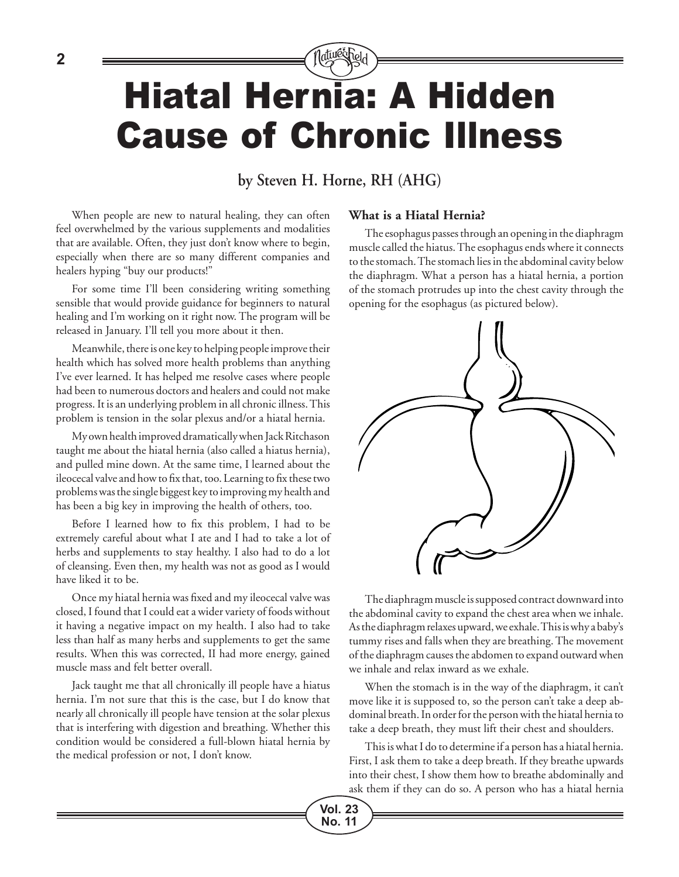## latu@chel Hiatal Hernia: A Hidden Cause of Chronic Illness

### **by Steven H. Horne, RH (AHG)**

**Vol. 23 No. 11**

When people are new to natural healing, they can often feel overwhelmed by the various supplements and modalities that are available. Often, they just don't know where to begin, especially when there are so many different companies and healers hyping "buy our products!"

For some time I'll been considering writing something sensible that would provide guidance for beginners to natural healing and I'm working on it right now. The program will be released in January. I'll tell you more about it then.

Meanwhile, there is one key to helping people improve their health which has solved more health problems than anything I've ever learned. It has helped me resolve cases where people had been to numerous doctors and healers and could not make progress. It is an underlying problem in all chronic illness. This problem is tension in the solar plexus and/or a hiatal hernia.

My own health improved dramatically when Jack Ritchason taught me about the hiatal hernia (also called a hiatus hernia), and pulled mine down. At the same time, I learned about the ileocecal valve and how to fix that, too. Learning to fix these two problems was the single biggest key to improving my health and has been a big key in improving the health of others, too.

Before I learned how to fix this problem, I had to be extremely careful about what I ate and I had to take a lot of herbs and supplements to stay healthy. I also had to do a lot of cleansing. Even then, my health was not as good as I would have liked it to be.

Once my hiatal hernia was fixed and my ileocecal valve was closed, I found that I could eat a wider variety of foods without it having a negative impact on my health. I also had to take less than half as many herbs and supplements to get the same results. When this was corrected, II had more energy, gained muscle mass and felt better overall.

Jack taught me that all chronically ill people have a hiatus hernia. I'm not sure that this is the case, but I do know that nearly all chronically ill people have tension at the solar plexus that is interfering with digestion and breathing. Whether this condition would be considered a full-blown hiatal hernia by the medical profession or not, I don't know.

### **What is a Hiatal Hernia?**

The esophagus passes through an opening in the diaphragm muscle called the hiatus. The esophagus ends where it connects to the stomach. The stomach lies in the abdominal cavity below the diaphragm. What a person has a hiatal hernia, a portion of the stomach protrudes up into the chest cavity through the opening for the esophagus (as pictured below).



The diaphragm muscle is supposed contract downward into the abdominal cavity to expand the chest area when we inhale. As the diaphragm relaxes upward, we exhale. This is why a baby's tummy rises and falls when they are breathing. The movement of the diaphragm causes the abdomen to expand outward when we inhale and relax inward as we exhale.

When the stomach is in the way of the diaphragm, it can't move like it is supposed to, so the person can't take a deep abdominal breath. In order for the person with the hiatal hernia to take a deep breath, they must lift their chest and shoulders.

This is what I do to determine if a person has a hiatal hernia. First, I ask them to take a deep breath. If they breathe upwards into their chest, I show them how to breathe abdominally and ask them if they can do so. A person who has a hiatal hernia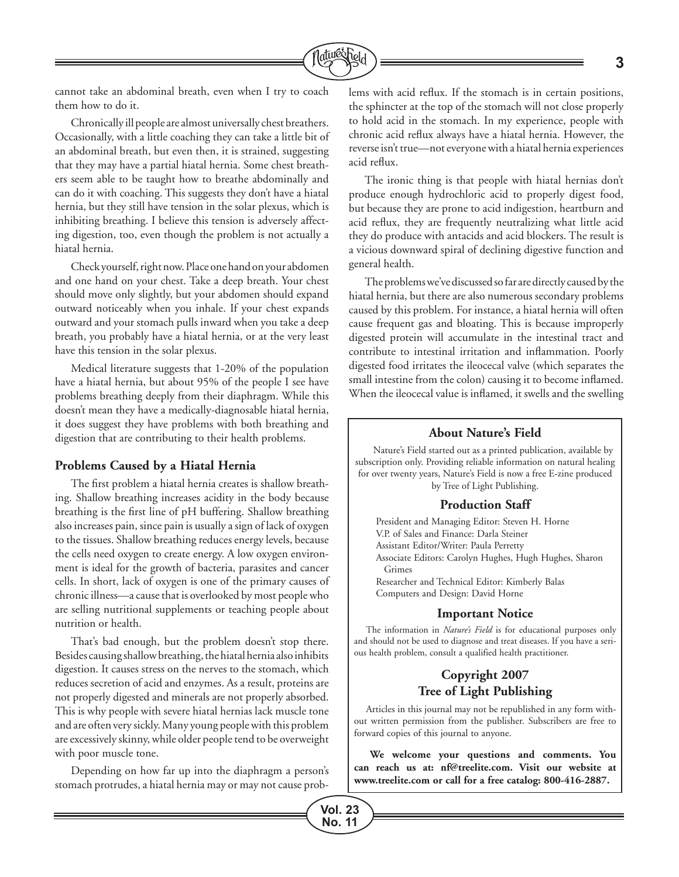

**Vol. 23 No. 11**

cannot take an abdominal breath, even when I try to coach them how to do it.

Chronically ill people are almost universally chest breathers. Occasionally, with a little coaching they can take a little bit of an abdominal breath, but even then, it is strained, suggesting that they may have a partial hiatal hernia. Some chest breathers seem able to be taught how to breathe abdominally and can do it with coaching. This suggests they don't have a hiatal hernia, but they still have tension in the solar plexus, which is inhibiting breathing. I believe this tension is adversely affecting digestion, too, even though the problem is not actually a hiatal hernia.

Check yourself, right now. Place one hand on your abdomen and one hand on your chest. Take a deep breath. Your chest should move only slightly, but your abdomen should expand outward noticeably when you inhale. If your chest expands outward and your stomach pulls inward when you take a deep breath, you probably have a hiatal hernia, or at the very least have this tension in the solar plexus.

Medical literature suggests that 1-20% of the population have a hiatal hernia, but about 95% of the people I see have problems breathing deeply from their diaphragm. While this doesn't mean they have a medically-diagnosable hiatal hernia, it does suggest they have problems with both breathing and digestion that are contributing to their health problems.

### **Problems Caused by a Hiatal Hernia**

The first problem a hiatal hernia creates is shallow breathing. Shallow breathing increases acidity in the body because breathing is the first line of pH buffering. Shallow breathing also increases pain, since pain is usually a sign of lack of oxygen to the tissues. Shallow breathing reduces energy levels, because the cells need oxygen to create energy. A low oxygen environment is ideal for the growth of bacteria, parasites and cancer cells. In short, lack of oxygen is one of the primary causes of chronic illness—a cause that is overlooked by most people who are selling nutritional supplements or teaching people about nutrition or health.

That's bad enough, but the problem doesn't stop there. Besides causing shallow breathing, the hiatal hernia also inhibits digestion. It causes stress on the nerves to the stomach, which reduces secretion of acid and enzymes. As a result, proteins are not properly digested and minerals are not properly absorbed. This is why people with severe hiatal hernias lack muscle tone and are often very sickly. Many young people with this problem are excessively skinny, while older people tend to be overweight with poor muscle tone.

Depending on how far up into the diaphragm a person's stomach protrudes, a hiatal hernia may or may not cause problems with acid reflux. If the stomach is in certain positions, the sphincter at the top of the stomach will not close properly to hold acid in the stomach. In my experience, people with chronic acid reflux always have a hiatal hernia. However, the reverse isn't true—not everyone with a hiatal hernia experiences acid reflux.

The ironic thing is that people with hiatal hernias don't produce enough hydrochloric acid to properly digest food, but because they are prone to acid indigestion, heartburn and acid reflux, they are frequently neutralizing what little acid they do produce with antacids and acid blockers. The result is a vicious downward spiral of declining digestive function and general health.

The problems we've discussed so far are directly caused by the hiatal hernia, but there are also numerous secondary problems caused by this problem. For instance, a hiatal hernia will often cause frequent gas and bloating. This is because improperly digested protein will accumulate in the intestinal tract and contribute to intestinal irritation and inflammation. Poorly digested food irritates the ileocecal valve (which separates the small intestine from the colon) causing it to become inflamed. When the ileocecal value is inflamed, it swells and the swelling

### **About Nature's Field**

Nature's Field started out as a printed publication, available by subscription only. Providing reliable information on natural healing for over twenty years, Nature's Field is now a free E-zine produced by Tree of Light Publishing.

#### **Production Staff**

President and Managing Editor: Steven H. Horne V.P. of Sales and Finance: Darla Steiner Assistant Editor/Writer: Paula Perretty Associate Editors: Carolyn Hughes, Hugh Hughes, Sharon Grimes Researcher and Technical Editor: Kimberly Balas Computers and Design: David Horne

### **Important Notice**

The information in *Nature's Field* is for educational purposes only and should not be used to diagnose and treat diseases. If you have a serious health problem, consult a qualified health practitioner.

### **Copyright 2007 Tree of Light Publishing**

Articles in this journal may not be republished in any form without written permission from the publisher. Subscribers are free to forward copies of this journal to anyone.

**We welcome your questions and comments. You can reach us at: nf@treelite.com. Visit our website at www.treelite.com or call for a free catalog: 800-416-2887.**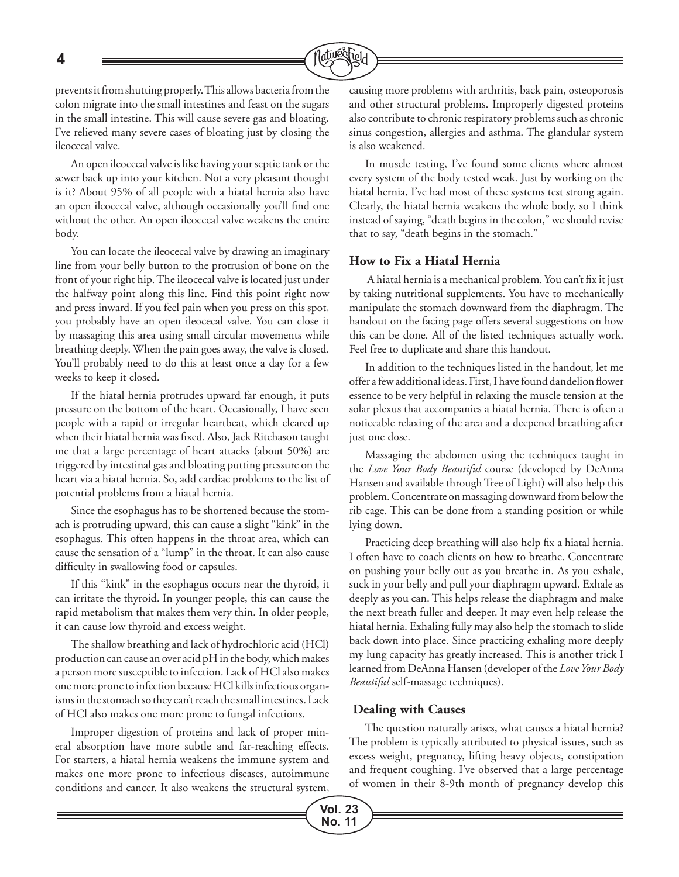**4**



prevents it from shutting properly. This allows bacteria from the colon migrate into the small intestines and feast on the sugars in the small intestine. This will cause severe gas and bloating. I've relieved many severe cases of bloating just by closing the ileocecal valve.

An open ileocecal valve is like having your septic tank or the sewer back up into your kitchen. Not a very pleasant thought is it? About 95% of all people with a hiatal hernia also have an open ileocecal valve, although occasionally you'll find one without the other. An open ileocecal valve weakens the entire body.

You can locate the ileocecal valve by drawing an imaginary line from your belly button to the protrusion of bone on the front of your right hip. The ileocecal valve is located just under the halfway point along this line. Find this point right now and press inward. If you feel pain when you press on this spot, you probably have an open ileocecal valve. You can close it by massaging this area using small circular movements while breathing deeply. When the pain goes away, the valve is closed. You'll probably need to do this at least once a day for a few weeks to keep it closed.

If the hiatal hernia protrudes upward far enough, it puts pressure on the bottom of the heart. Occasionally, I have seen people with a rapid or irregular heartbeat, which cleared up when their hiatal hernia was fixed. Also, Jack Ritchason taught me that a large percentage of heart attacks (about 50%) are triggered by intestinal gas and bloating putting pressure on the heart via a hiatal hernia. So, add cardiac problems to the list of potential problems from a hiatal hernia.

Since the esophagus has to be shortened because the stomach is protruding upward, this can cause a slight "kink" in the esophagus. This often happens in the throat area, which can cause the sensation of a "lump" in the throat. It can also cause difficulty in swallowing food or capsules.

If this "kink" in the esophagus occurs near the thyroid, it can irritate the thyroid. In younger people, this can cause the rapid metabolism that makes them very thin. In older people, it can cause low thyroid and excess weight.

The shallow breathing and lack of hydrochloric acid (HCl) production can cause an over acid pH in the body, which makes a person more susceptible to infection. Lack of HCl also makes one more prone to infection because HCl kills infectious organisms in the stomach so they can't reach the small intestines. Lack of HCl also makes one more prone to fungal infections.

Improper digestion of proteins and lack of proper mineral absorption have more subtle and far-reaching effects. For starters, a hiatal hernia weakens the immune system and makes one more prone to infectious diseases, autoimmune conditions and cancer. It also weakens the structural system, causing more problems with arthritis, back pain, osteoporosis and other structural problems. Improperly digested proteins also contribute to chronic respiratory problems such as chronic sinus congestion, allergies and asthma. The glandular system is also weakened.

In muscle testing, I've found some clients where almost every system of the body tested weak. Just by working on the hiatal hernia, I've had most of these systems test strong again. Clearly, the hiatal hernia weakens the whole body, so I think instead of saying, "death begins in the colon," we should revise that to say, "death begins in the stomach."

### **How to Fix a Hiatal Hernia**

 A hiatal hernia is a mechanical problem. You can't fix it just by taking nutritional supplements. You have to mechanically manipulate the stomach downward from the diaphragm. The handout on the facing page offers several suggestions on how this can be done. All of the listed techniques actually work. Feel free to duplicate and share this handout.

In addition to the techniques listed in the handout, let me offer a few additional ideas. First, I have found dandelion flower essence to be very helpful in relaxing the muscle tension at the solar plexus that accompanies a hiatal hernia. There is often a noticeable relaxing of the area and a deepened breathing after just one dose.

Massaging the abdomen using the techniques taught in the *Love Your Body Beautiful* course (developed by DeAnna Hansen and available through Tree of Light) will also help this problem. Concentrate on massaging downward from below the rib cage. This can be done from a standing position or while lying down.

Practicing deep breathing will also help fix a hiatal hernia. I often have to coach clients on how to breathe. Concentrate on pushing your belly out as you breathe in. As you exhale, suck in your belly and pull your diaphragm upward. Exhale as deeply as you can. This helps release the diaphragm and make the next breath fuller and deeper. It may even help release the hiatal hernia. Exhaling fully may also help the stomach to slide back down into place. Since practicing exhaling more deeply my lung capacity has greatly increased. This is another trick I learned from DeAnna Hansen (developer of the *Love Your Body Beautiful* self-massage techniques).

### **Dealing with Causes**

The question naturally arises, what causes a hiatal hernia? The problem is typically attributed to physical issues, such as excess weight, pregnancy, lifting heavy objects, constipation and frequent coughing. I've observed that a large percentage of women in their 8-9th month of pregnancy develop this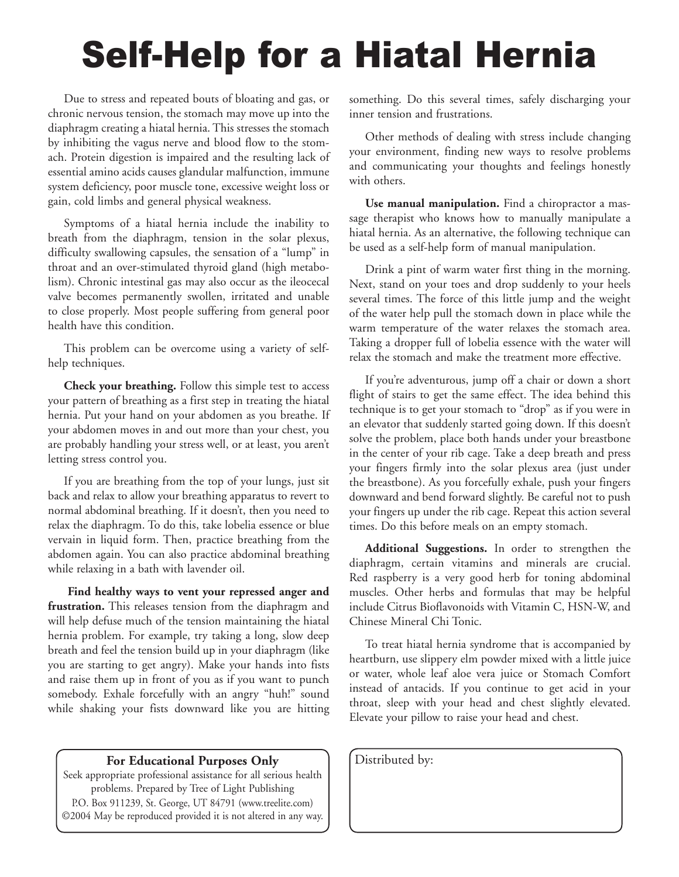# Self-Help for a Hiatal Hernia

Due to stress and repeated bouts of bloating and gas, or chronic nervous tension, the stomach may move up into the diaphragm creating a hiatal hernia. This stresses the stomach by inhibiting the vagus nerve and blood flow to the stomach. Protein digestion is impaired and the resulting lack of essential amino acids causes glandular malfunction, immune system deficiency, poor muscle tone, excessive weight loss or gain, cold limbs and general physical weakness.

Symptoms of a hiatal hernia include the inability to breath from the diaphragm, tension in the solar plexus, difficulty swallowing capsules, the sensation of a "lump" in throat and an over-stimulated thyroid gland (high metabolism). Chronic intestinal gas may also occur as the ileocecal valve becomes permanently swollen, irritated and unable to close properly. Most people suffering from general poor health have this condition.

This problem can be overcome using a variety of selfhelp techniques.

**Check your breathing.** Follow this simple test to access your pattern of breathing as a first step in treating the hiatal hernia. Put your hand on your abdomen as you breathe. If your abdomen moves in and out more than your chest, you are probably handling your stress well, or at least, you aren't letting stress control you.

If you are breathing from the top of your lungs, just sit back and relax to allow your breathing apparatus to revert to normal abdominal breathing. If it doesn't, then you need to relax the diaphragm. To do this, take lobelia essence or blue vervain in liquid form. Then, practice breathing from the abdomen again. You can also practice abdominal breathing while relaxing in a bath with lavender oil.

**Find healthy ways to vent your repressed anger and frustration.** This releases tension from the diaphragm and will help defuse much of the tension maintaining the hiatal hernia problem. For example, try taking a long, slow deep breath and feel the tension build up in your diaphragm (like you are starting to get angry). Make your hands into fists and raise them up in front of you as if you want to punch somebody. Exhale forcefully with an angry "huh!" sound while shaking your fists downward like you are hitting

### **For Educational Purposes Only** | Distributed by:

Seek appropriate professional assistance for all serious health problems. Prepared by Tree of Light Publishing P.O. Box 911239, St. George, UT 84791 (www.treelite.com) ©2004 May be reproduced provided it is not altered in any way. something. Do this several times, safely discharging your inner tension and frustrations.

Other methods of dealing with stress include changing your environment, finding new ways to resolve problems and communicating your thoughts and feelings honestly with others.

**Use manual manipulation.** Find a chiropractor a massage therapist who knows how to manually manipulate a hiatal hernia. As an alternative, the following technique can be used as a self-help form of manual manipulation.

Drink a pint of warm water first thing in the morning. Next, stand on your toes and drop suddenly to your heels several times. The force of this little jump and the weight of the water help pull the stomach down in place while the warm temperature of the water relaxes the stomach area. Taking a dropper full of lobelia essence with the water will relax the stomach and make the treatment more effective.

If you're adventurous, jump off a chair or down a short flight of stairs to get the same effect. The idea behind this technique is to get your stomach to "drop" as if you were in an elevator that suddenly started going down. If this doesn't solve the problem, place both hands under your breastbone in the center of your rib cage. Take a deep breath and press your fingers firmly into the solar plexus area (just under the breastbone). As you forcefully exhale, push your fingers downward and bend forward slightly. Be careful not to push your fingers up under the rib cage. Repeat this action several times. Do this before meals on an empty stomach.

**Additional Suggestions.** In order to strengthen the diaphragm, certain vitamins and minerals are crucial. Red raspberry is a very good herb for toning abdominal muscles. Other herbs and formulas that may be helpful include Citrus Bioflavonoids with Vitamin C, HSN-W, and Chinese Mineral Chi Tonic.

To treat hiatal hernia syndrome that is accompanied by heartburn, use slippery elm powder mixed with a little juice or water, whole leaf aloe vera juice or Stomach Comfort instead of antacids. If you continue to get acid in your throat, sleep with your head and chest slightly elevated. Elevate your pillow to raise your head and chest.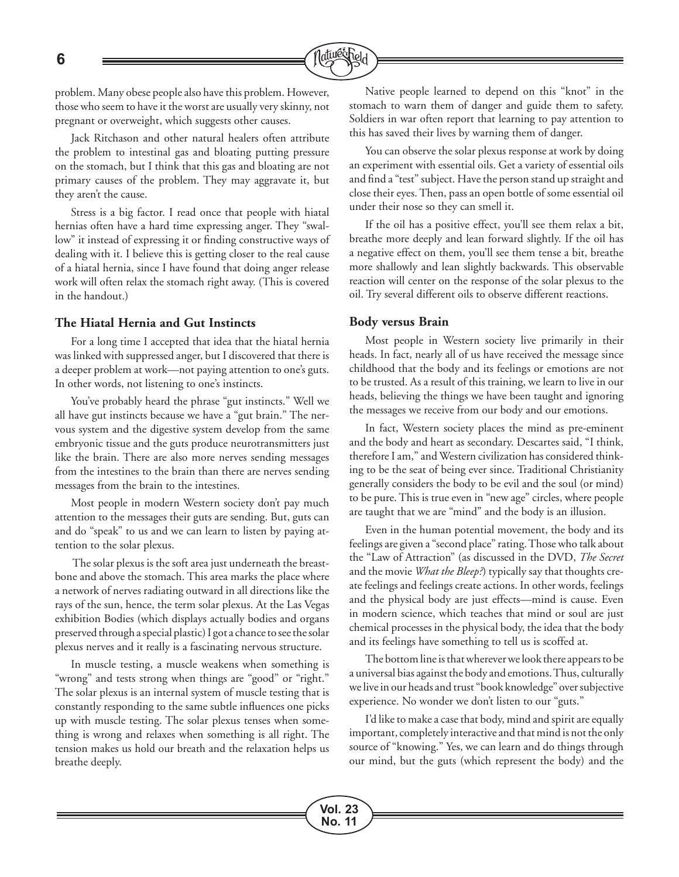

problem. Many obese people also have this problem. However, those who seem to have it the worst are usually very skinny, not pregnant or overweight, which suggests other causes.

Jack Ritchason and other natural healers often attribute the problem to intestinal gas and bloating putting pressure on the stomach, but I think that this gas and bloating are not primary causes of the problem. They may aggravate it, but they aren't the cause.

Stress is a big factor. I read once that people with hiatal hernias often have a hard time expressing anger. They "swallow" it instead of expressing it or finding constructive ways of dealing with it. I believe this is getting closer to the real cause of a hiatal hernia, since I have found that doing anger release work will often relax the stomach right away. (This is covered in the handout.)

### **The Hiatal Hernia and Gut Instincts**

For a long time I accepted that idea that the hiatal hernia was linked with suppressed anger, but I discovered that there is a deeper problem at work—not paying attention to one's guts. In other words, not listening to one's instincts.

You've probably heard the phrase "gut instincts." Well we all have gut instincts because we have a "gut brain." The nervous system and the digestive system develop from the same embryonic tissue and the guts produce neurotransmitters just like the brain. There are also more nerves sending messages from the intestines to the brain than there are nerves sending messages from the brain to the intestines.

Most people in modern Western society don't pay much attention to the messages their guts are sending. But, guts can and do "speak" to us and we can learn to listen by paying attention to the solar plexus.

 The solar plexus is the soft area just underneath the breastbone and above the stomach. This area marks the place where a network of nerves radiating outward in all directions like the rays of the sun, hence, the term solar plexus. At the Las Vegas exhibition Bodies (which displays actually bodies and organs preserved through a special plastic) I got a chance to see the solar plexus nerves and it really is a fascinating nervous structure.

In muscle testing, a muscle weakens when something is "wrong" and tests strong when things are "good" or "right." The solar plexus is an internal system of muscle testing that is constantly responding to the same subtle influences one picks up with muscle testing. The solar plexus tenses when something is wrong and relaxes when something is all right. The tension makes us hold our breath and the relaxation helps us breathe deeply.

Native people learned to depend on this "knot" in the stomach to warn them of danger and guide them to safety. Soldiers in war often report that learning to pay attention to this has saved their lives by warning them of danger.

You can observe the solar plexus response at work by doing an experiment with essential oils. Get a variety of essential oils and find a "test" subject. Have the person stand up straight and close their eyes. Then, pass an open bottle of some essential oil under their nose so they can smell it.

If the oil has a positive effect, you'll see them relax a bit, breathe more deeply and lean forward slightly. If the oil has a negative effect on them, you'll see them tense a bit, breathe more shallowly and lean slightly backwards. This observable reaction will center on the response of the solar plexus to the oil. Try several different oils to observe different reactions.

### **Body versus Brain**

Most people in Western society live primarily in their heads. In fact, nearly all of us have received the message since childhood that the body and its feelings or emotions are not to be trusted. As a result of this training, we learn to live in our heads, believing the things we have been taught and ignoring the messages we receive from our body and our emotions.

In fact, Western society places the mind as pre-eminent and the body and heart as secondary. Descartes said, "I think, therefore I am," and Western civilization has considered thinking to be the seat of being ever since. Traditional Christianity generally considers the body to be evil and the soul (or mind) to be pure. This is true even in "new age" circles, where people are taught that we are "mind" and the body is an illusion.

Even in the human potential movement, the body and its feelings are given a "second place" rating. Those who talk about the "Law of Attraction" (as discussed in the DVD, *The Secret*  and the movie *What the Bleep?*) typically say that thoughts create feelings and feelings create actions. In other words, feelings and the physical body are just effects—mind is cause. Even in modern science, which teaches that mind or soul are just chemical processes in the physical body, the idea that the body and its feelings have something to tell us is scoffed at.

The bottom line is that wherever we look there appears to be a universal bias against the body and emotions. Thus, culturally we live in our heads and trust "book knowledge" over subjective experience. No wonder we don't listen to our "guts."

I'd like to make a case that body, mind and spirit are equally important, completely interactive and that mind is not the only source of "knowing." Yes, we can learn and do things through our mind, but the guts (which represent the body) and the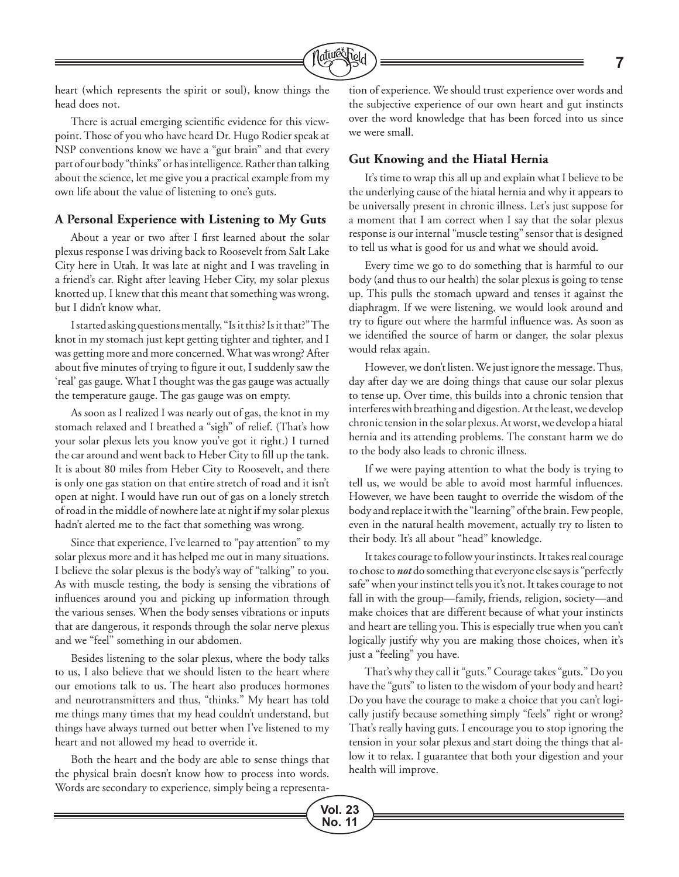

**Vol. 23 No. 11**

heart (which represents the spirit or soul), know things the head does not.

There is actual emerging scientific evidence for this viewpoint. Those of you who have heard Dr. Hugo Rodier speak at NSP conventions know we have a "gut brain" and that every part of our body "thinks" or has intelligence. Rather than talking about the science, let me give you a practical example from my own life about the value of listening to one's guts.

### **A Personal Experience with Listening to My Guts**

About a year or two after I first learned about the solar plexus response I was driving back to Roosevelt from Salt Lake City here in Utah. It was late at night and I was traveling in a friend's car. Right after leaving Heber City, my solar plexus knotted up. I knew that this meant that something was wrong, but I didn't know what.

I started asking questions mentally, "Is it this? Is it that?" The knot in my stomach just kept getting tighter and tighter, and I was getting more and more concerned. What was wrong? After about five minutes of trying to figure it out, I suddenly saw the 'real' gas gauge. What I thought was the gas gauge was actually the temperature gauge. The gas gauge was on empty.

As soon as I realized I was nearly out of gas, the knot in my stomach relaxed and I breathed a "sigh" of relief. (That's how your solar plexus lets you know you've got it right.) I turned the car around and went back to Heber City to fill up the tank. It is about 80 miles from Heber City to Roosevelt, and there is only one gas station on that entire stretch of road and it isn't open at night. I would have run out of gas on a lonely stretch of road in the middle of nowhere late at night if my solar plexus hadn't alerted me to the fact that something was wrong.

Since that experience, I've learned to "pay attention" to my solar plexus more and it has helped me out in many situations. I believe the solar plexus is the body's way of "talking" to you. As with muscle testing, the body is sensing the vibrations of influences around you and picking up information through the various senses. When the body senses vibrations or inputs that are dangerous, it responds through the solar nerve plexus and we "feel" something in our abdomen.

Besides listening to the solar plexus, where the body talks to us, I also believe that we should listen to the heart where our emotions talk to us. The heart also produces hormones and neurotransmitters and thus, "thinks." My heart has told me things many times that my head couldn't understand, but things have always turned out better when I've listened to my heart and not allowed my head to override it.

Both the heart and the body are able to sense things that the physical brain doesn't know how to process into words. Words are secondary to experience, simply being a representation of experience. We should trust experience over words and the subjective experience of our own heart and gut instincts over the word knowledge that has been forced into us since we were small.

### **Gut Knowing and the Hiatal Hernia**

It's time to wrap this all up and explain what I believe to be the underlying cause of the hiatal hernia and why it appears to be universally present in chronic illness. Let's just suppose for a moment that I am correct when I say that the solar plexus response is our internal "muscle testing" sensor that is designed to tell us what is good for us and what we should avoid.

Every time we go to do something that is harmful to our body (and thus to our health) the solar plexus is going to tense up. This pulls the stomach upward and tenses it against the diaphragm. If we were listening, we would look around and try to figure out where the harmful influence was. As soon as we identified the source of harm or danger, the solar plexus would relax again.

However, we don't listen. We just ignore the message. Thus, day after day we are doing things that cause our solar plexus to tense up. Over time, this builds into a chronic tension that interferes with breathing and digestion. At the least, we develop chronic tension in the solar plexus. At worst, we develop a hiatal hernia and its attending problems. The constant harm we do to the body also leads to chronic illness.

If we were paying attention to what the body is trying to tell us, we would be able to avoid most harmful influences. However, we have been taught to override the wisdom of the body and replace it with the "learning" of the brain. Few people, even in the natural health movement, actually try to listen to their body. It's all about "head" knowledge.

It takes courage to follow your instincts. It takes real courage to chose to *not* do something that everyone else says is "perfectly safe" when your instinct tells you it's not. It takes courage to not fall in with the group—family, friends, religion, society—and make choices that are different because of what your instincts and heart are telling you. This is especially true when you can't logically justify why you are making those choices, when it's just a "feeling" you have.

That's why they call it "guts." Courage takes "guts." Do you have the "guts" to listen to the wisdom of your body and heart? Do you have the courage to make a choice that you can't logically justify because something simply "feels" right or wrong? That's really having guts. I encourage you to stop ignoring the tension in your solar plexus and start doing the things that allow it to relax. I guarantee that both your digestion and your health will improve.